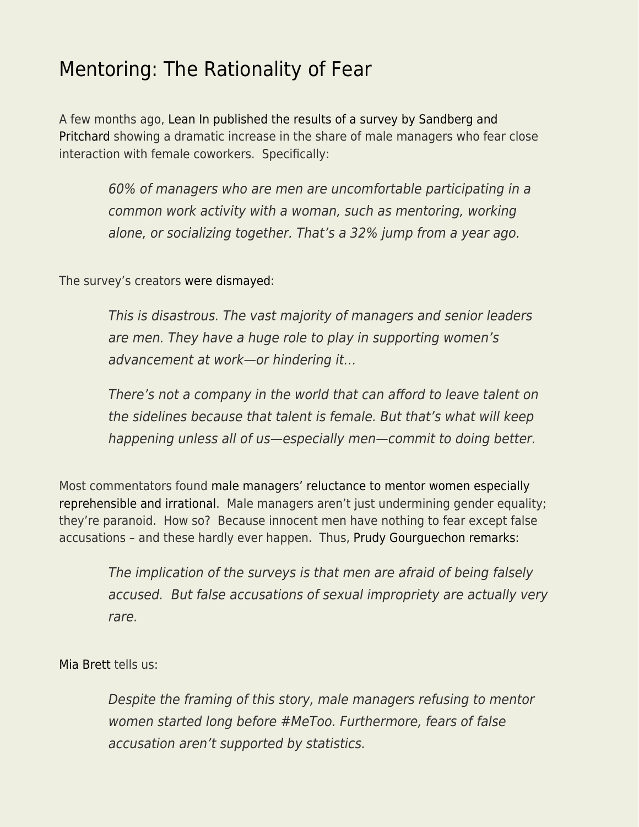## [Mentoring: The Rationality of Fear](https://everything-voluntary.com/mentoring-the-rationality-of-fear)

A few months ago, [Lean In published the results of a survey by Sandberg and](https://leanin.org/sexual-harassment-backlash-survey-results#key-finding-1) [Pritchard](https://leanin.org/sexual-harassment-backlash-survey-results#key-finding-1) showing a dramatic increase in the share of male managers who fear close interaction with female coworkers. Specifically:

> 60% of managers who are men are uncomfortable participating in a common work activity with a woman, such as mentoring, working alone, or socializing together. That's a 32% jump from a year ago.

The survey's creators [were dismayed](https://fortune.com/2019/05/17/sheryl-sandberg-lean-in-me-too/):

This is disastrous. The vast majority of managers and senior leaders are men. They have a huge role to play in supporting women's advancement at work—or hindering it…

There's not a company in the world that can afford to leave talent on the sidelines because that talent is female. But that's what will keep happening unless all of us—especially men—commit to doing better.

Most commentators found [male managers'](https://www.forbes.com/sites/prudygourguechon/2018/08/06/why-in-the-world-would-men-stop-mentoring-women-post-metoo/#3d840a8a79a5) [reluctance](https://www.forbes.com/sites/ellevate/2019/07/26/navigating-mentorship-in-an-era-of-metoo/#77e2cf6257da) [to mentor women](https://www.forbes.com/sites/pragyaagarwaleurope/2019/02/18/in-the-era-of-metoo-are-men-scared-of-mentoring-women/#13d36e127d0d) [especially](https://www.washingtonpost.com/business/2019/05/17/metoo-backlash-more-male-managers-avoid-mentoring-women-or-meeting-alone-with-them/) [reprehensible](https://www.washingtonpost.com/business/2019/05/17/metoo-backlash-more-male-managers-avoid-mentoring-women-or-meeting-alone-with-them/) [and irrational](https://www.marketwatch.com/story/men-are-afraid-to-mentor-female-colleagues-in-the-metoo-era-heres-what-not-to-do-2019-05-20). Male managers aren't just undermining gender equality; they're paranoid. How so? Because innocent men have nothing to fear except false accusations – and these hardly ever happen. Thus, [Prudy Gourguechon remarks](https://www.forbes.com/sites/prudygourguechon/2018/08/06/why-in-the-world-would-men-stop-mentoring-women-post-metoo/#3d840a8a79a5):

The implication of the surveys is that men are afraid of being falsely accused. But false accusations of sexual impropriety are actually very rare.

[Mia Brett](https://www.womensmediacenter.com/news-features/many-in-media-distort-the-framing-of-metoo) tells us:

Despite the framing of this story, male managers refusing to mentor women started long before #MeToo. Furthermore, fears of false accusation aren't supported by statistics.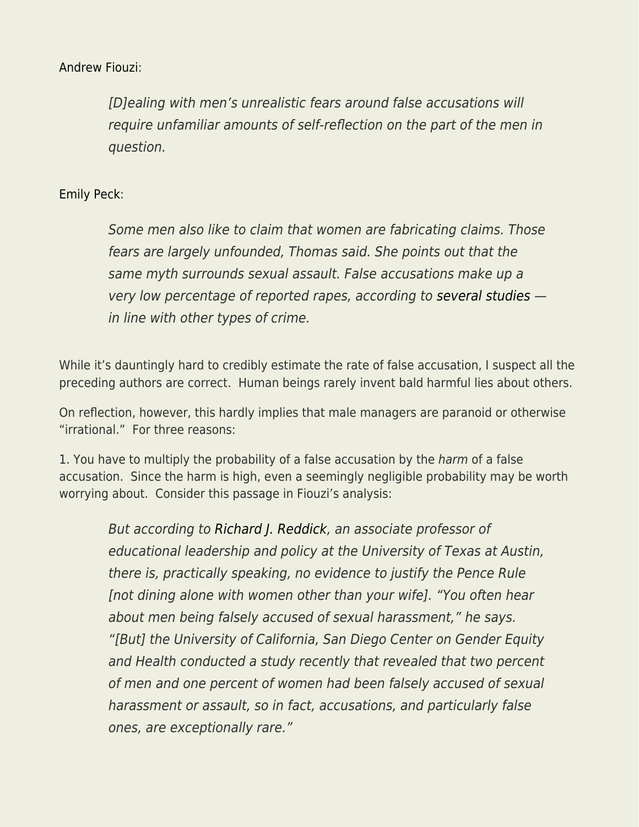## [Andrew Fiouzi](https://melmagazine.com/en-us/story/heres-what-we-can-do-about-men-who-dont-want-to-mentor-women-in-the-era-of-metoo):

[D]ealing with men's unrealistic fears around false accusations will require unfamiliar amounts of self-reflection on the part of the men in question.

## [Emily Peck](https://www.huffpost.com/entry/me-too-backlash-getting-worse_n_5cddd96de4b00e035b8ce786):

Some men also like to claim that women are fabricating claims. Those fears are largely unfounded, Thomas said. She points out that the same myth surrounds sexual assault. False accusations make up a very low percentage of reported rapes, according to [several studies](https://www.nsvrc.org/sites/default/files/Publications_NSVRC_Overview_False-Reporting.pdf) in line with other types of crime.

While it's dauntingly hard to credibly estimate the rate of false accusation, I suspect all the preceding authors are correct. Human beings rarely invent bald harmful lies about others.

On reflection, however, this hardly implies that male managers are paranoid or otherwise "irrational." For three reasons:

1. You have to multiply the probability of a false accusation by the *harm* of a false accusation. Since the harm is high, even a seemingly negligible probability may be worth worrying about. Consider this passage in Fiouzi's analysis:

But according to [Richard J. Reddick](https://education.utexas.edu/faculty/richard_reddick), an associate professor of educational leadership and policy at the University of Texas at Austin, there is, practically speaking, no evidence to justify the Pence Rule [not dining alone with women other than your wife]. "You often hear about men being falsely accused of sexual harassment," he says. "[But] the University of California, San Diego Center on Gender Equity and Health conducted a study recently that revealed that two percent of men and one percent of women had been falsely accused of sexual harassment or assault, so in fact, accusations, and particularly false ones, are exceptionally rare."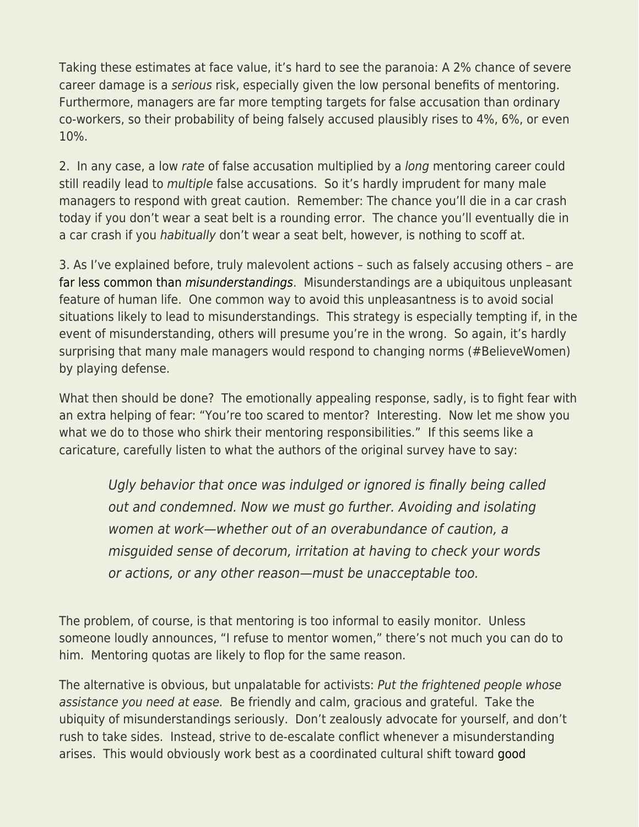Taking these estimates at face value, it's hard to see the paranoia: A 2% chance of severe career damage is a serious risk, especially given the low personal benefits of mentoring. Furthermore, managers are far more tempting targets for false accusation than ordinary co-workers, so their probability of being falsely accused plausibly rises to 4%, 6%, or even 10%.

2. In any case, a low rate of false accusation multiplied by a *long* mentoring career could still readily lead to *multiple* false accusations. So it's hardly imprudent for many male managers to respond with great caution. Remember: The chance you'll die in a car crash today if you don't wear a seat belt is a rounding error. The chance you'll eventually die in a car crash if you habitually don't wear a seat belt, however, is nothing to scoff at.

3. As I've explained before, truly malevolent actions – such as falsely accusing others – are [far less common than](https://www.econlib.org/malevolence-and-misunderstanding/) [misunderstandings](https://www.econlib.org/malevolence-and-misunderstanding/). Misunderstandings are a ubiquitous unpleasant feature of human life. One common way to avoid this unpleasantness is to avoid social situations likely to lead to misunderstandings. This strategy is especially tempting if, in the event of misunderstanding, others will presume you're in the wrong. So again, it's hardly surprising that many male managers would respond to changing norms (#BelieveWomen) by playing defense.

What then should be done? The emotionally appealing response, sadly, is to fight fear with an extra helping of fear: "You're too scared to mentor? Interesting. Now let me show you what we do to those who shirk their mentoring responsibilities." If this seems like a caricature, carefully listen to what the authors of the original survey have to say:

Ugly behavior that once was indulged or ignored is finally being called out and condemned. Now we must go further. Avoiding and isolating women at work—whether out of an overabundance of caution, a misguided sense of decorum, irritation at having to check your words or actions, or any other reason—must be unacceptable too.

The problem, of course, is that mentoring is too informal to easily monitor. Unless someone loudly announces, "I refuse to mentor women," there's not much you can do to him. Mentoring quotas are likely to flop for the same reason.

The alternative is obvious, but unpalatable for activists: Put the frightened people whose assistance you need at ease. Be friendly and calm, gracious and grateful. Take the ubiquity of misunderstandings seriously. Don't zealously advocate for yourself, and don't rush to take sides. Instead, strive to de-escalate conflict whenever a misunderstanding arises. This would obviously work best as a coordinated cultural shift toward [good](https://www.econlib.org/archives/2017/03/good_manners_vs.html)